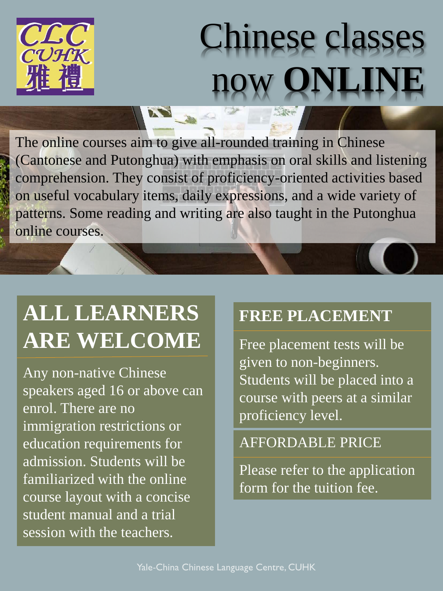

# Chinese classes now **ONLINE**

The online courses aim to give all-rounded training in Chinese (Cantonese and Putonghua) with emphasis on oral skills and listening comprehension. They consist of proficiency-oriented activities based on useful vocabulary items, daily expressions, and a wide variety of patterns. Some reading and writing are also taught in the Putonghua online courses.

## **ALL LEARNERS ARE WELCOME**

Any non-native Chinese speakers aged 16 or above can enrol. There are no immigration restrictions or education requirements for admission. Students will be familiarized with the online course layout with a concise student manual and a trial session with the teachers.

#### **FREE PLACEMENT**

Free placement tests will be given to non-beginners. Students will be placed into a course with peers at a similar proficiency level.

#### AFFORDABLE PRICE

Please refer to the application form for the tuition fee.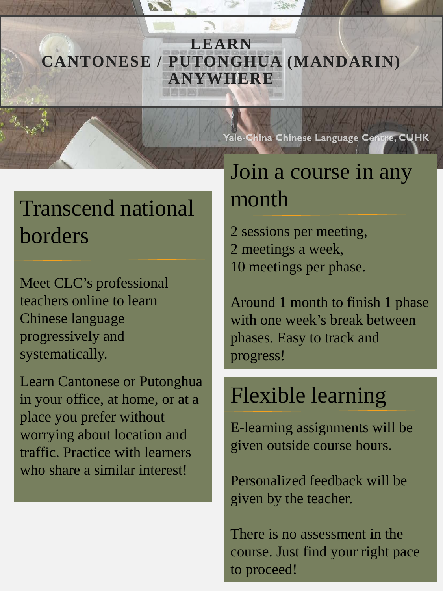#### **LEARN CANTONESE / PUTONGHUA (MANDARIN) ANYWHERE**

#### Yale-China Chinese Language Centre, CUHK

## Transcend national borders

Meet CLC's professional teachers online to learn Chinese language progressively and systematically.

Learn Cantonese or Putonghua in your office, at home, or at a place you prefer without worrying about location and traffic. Practice with learners who share a similar interest!

#### Join a course in any month

2 sessions per meeting, 2 meetings a week, 10 meetings per phase.

Around 1 month to finish 1 phase with one week's break between phases. Easy to track and progress!

#### Flexible learning

E-learning assignments will be given outside course hours.

Personalized feedback will be given by the teacher.

There is no assessment in the course. Just find your right pace to proceed!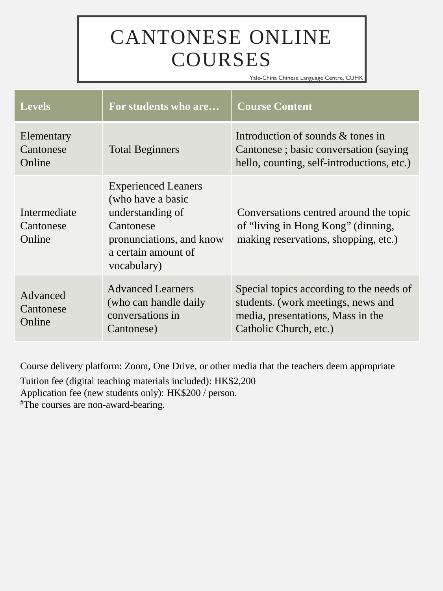### CANTONESE ONLINE **COURSES**

Yale-China Chinese Language Centre, CUHK

| <b>Levels</b>                       | For students who are                                                                                                                               | <b>Course Content</b>                                                                                                                         |
|-------------------------------------|----------------------------------------------------------------------------------------------------------------------------------------------------|-----------------------------------------------------------------------------------------------------------------------------------------------|
| Elementary<br>Cantonese<br>Online   | <b>Total Beginners</b>                                                                                                                             | Introduction of sounds & tones in<br>Cantonese; basic conversation (saying)<br>hello, counting, self-introductions, etc.)                     |
| Intermediate<br>Cantonese<br>Online | <b>Experienced Leaners</b><br>(who have a basic<br>understanding of<br>Cantonese<br>pronunciations, and know<br>a certain amount of<br>vocabulary) | Conversations centred around the topic<br>of "living in Hong Kong" (dinning,<br>making reservations, shopping, etc.)                          |
| Advanced<br>Cantonese<br>Online     | <b>Advanced Learners</b><br>(who can handle daily<br>conversations in<br>Cantonese)                                                                | Special topics according to the needs of<br>students. (work meetings, news and<br>media, presentations, Mass in the<br>Catholic Church, etc.) |

Course delivery platform: Zoom, One Drive, or other media that the teachers deem appropriate

Tuition fee (digital teaching materials included): HK\$2,200

Application fee (new students only): HK\$200 / person.

#The courses are non-award-bearing.